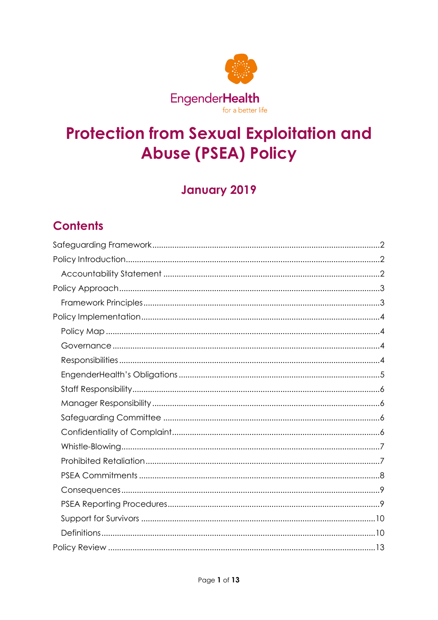

# **Protection from Sexual Exploitation and Abuse (PSEA) Policy**

# **January 2019**

# **Contents**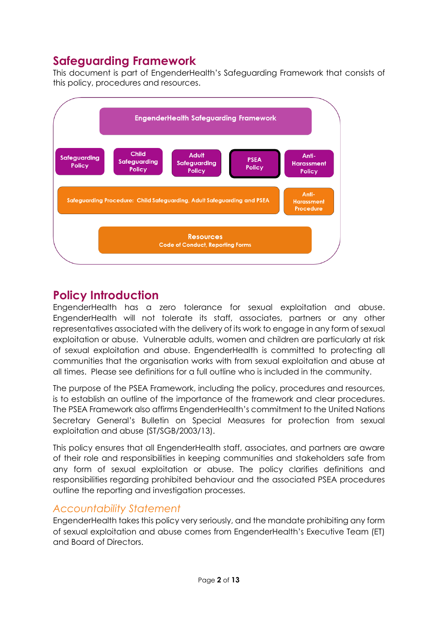# <span id="page-1-0"></span>**Safeguarding Framework**

This document is part of EngenderHealth's Safeguarding Framework that consists of this policy, procedures and resources.



# <span id="page-1-1"></span>**Policy Introduction**

EngenderHealth has a zero tolerance for sexual exploitation and abuse. EngenderHealth will not tolerate its staff, associates, partners or any other representatives associated with the delivery of its work to engage in any form of sexual exploitation or abuse. Vulnerable adults, women and children are particularly at risk of sexual exploitation and abuse. EngenderHealth is committed to protecting all communities that the organisation works with from sexual exploitation and abuse at all times. Please see definitions for a full outline who is included in the community.

The purpose of the PSEA Framework, including the policy, procedures and resources, is to establish an outline of the importance of the framework and clear procedures. The PSEA Framework also affirms EngenderHealth's commitment to the United Nations Secretary General's Bulletin on Special Measures for protection from sexual exploitation and abuse (ST/SGB/2003/13).

This policy ensures that all EngenderHealth staff, associates, and partners are aware of their role and responsibilities in keeping communities and stakeholders safe from any form of sexual exploitation or abuse. The policy clarifies definitions and responsibilities regarding prohibited behaviour and the associated PSEA procedures outline the reporting and investigation processes.

# <span id="page-1-2"></span>*Accountability Statement*

EngenderHealth takes this policy very seriously, and the mandate prohibiting any form of sexual exploitation and abuse comes from EngenderHealth's Executive Team (ET) and Board of Directors.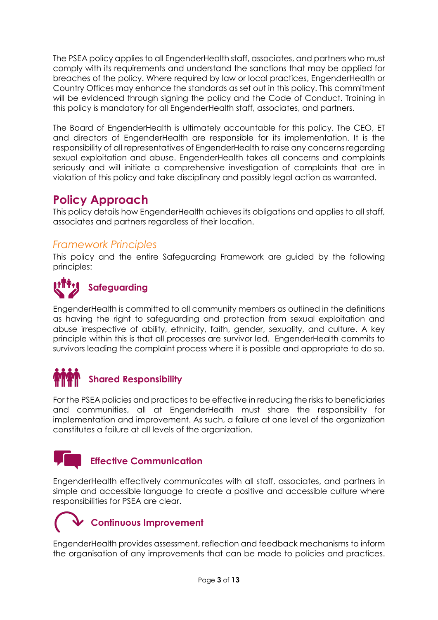The PSEA policy applies to all EngenderHealth staff, associates, and partners who must comply with its requirements and understand the sanctions that may be applied for breaches of the policy. Where required by law or local practices, EngenderHealth or Country Offices may enhance the standards as set out in this policy. This commitment will be evidenced through signing the policy and the Code of Conduct. Training in this policy is mandatory for all EngenderHealth staff, associates, and partners.

The Board of EngenderHealth is ultimately accountable for this policy. The CEO, ET and directors of EngenderHealth are responsible for its implementation. It is the responsibility of all representatives of EngenderHealth to raise any concerns regarding sexual exploitation and abuse. EngenderHealth takes all concerns and complaints seriously and will initiate a comprehensive investigation of complaints that are in violation of this policy and take disciplinary and possibly legal action as warranted.

# <span id="page-2-0"></span>**Policy Approach**

This policy details how EngenderHealth achieves its obligations and applies to all staff, associates and partners regardless of their location.

## <span id="page-2-1"></span>*Framework Principles*

This policy and the entire Safeguarding Framework are guided by the following principles:



# **Safeguarding**

EngenderHealth is committed to all community members as outlined in the definitions as having the right to safeguarding and protection from sexual exploitation and abuse irrespective of ability, ethnicity, faith, gender, sexuality, and culture. A key principle within this is that all processes are survivor led. EngenderHealth commits to survivors leading the complaint process where it is possible and appropriate to do so.

# **Shared Responsibility**

For the PSEA policies and practices to be effective in reducing the risks to beneficiaries and communities, all at EngenderHealth must share the responsibility for implementation and improvement. As such, a failure at one level of the organization constitutes a failure at all levels of the organization.



## **Effective Communication**

EngenderHealth effectively communicates with all staff, associates, and partners in simple and accessible language to create a positive and accessible culture where responsibilities for PSEA are clear.

# **Continuous Improvement**

EngenderHealth provides assessment, reflection and feedback mechanisms to inform the organisation of any improvements that can be made to policies and practices.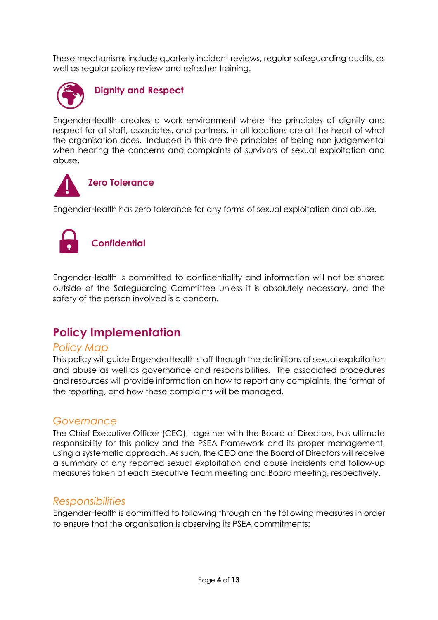These mechanisms include quarterly incident reviews, regular safeguarding audits, as well as regular policy review and refresher training.



EngenderHealth creates a work environment where the principles of dignity and respect for all staff, associates, and partners, in all locations are at the heart of what the organisation does. Included in this are the principles of being non-judgemental when hearing the concerns and complaints of survivors of sexual exploitation and abuse.



EngenderHealth has zero tolerance for any forms of sexual exploitation and abuse.



EngenderHealth Is committed to confidentiality and information will not be shared outside of the Safeguarding Committee unless it is absolutely necessary, and the safety of the person involved is a concern.

# <span id="page-3-0"></span>**Policy Implementation**

#### <span id="page-3-1"></span>*Policy Map*

This policy will guide EngenderHealth staff through the definitions of sexual exploitation and abuse as well as governance and responsibilities. The associated procedures and resources will provide information on how to report any complaints, the format of the reporting, and how these complaints will be managed.

### <span id="page-3-2"></span>*Governance*

The Chief Executive Officer (CEO), together with the Board of Directors, has ultimate responsibility for this policy and the PSEA Framework and its proper management, using a systematic approach. As such, the CEO and the Board of Directors will receive a summary of any reported sexual exploitation and abuse incidents and follow-up measures taken at each Executive Team meeting and Board meeting, respectively.

### <span id="page-3-3"></span>*Responsibilities*

EngenderHealth is committed to following through on the following measures in order to ensure that the organisation is observing its PSEA commitments: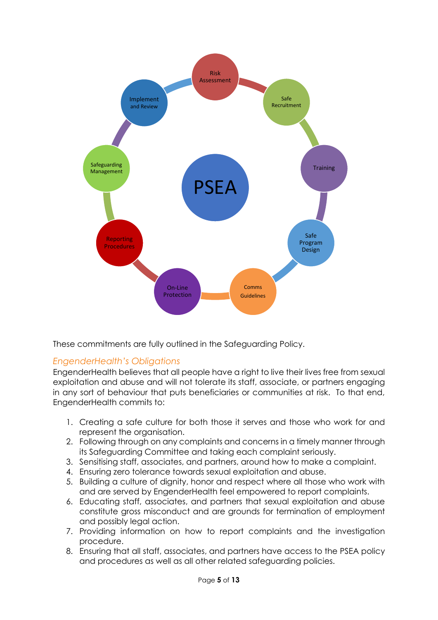

These commitments are fully outlined in the Safeguarding Policy.

## <span id="page-4-0"></span>*EngenderHealth's Obligations*

EngenderHealth believes that all people have a right to live their lives free from sexual exploitation and abuse and will not tolerate its staff, associate, or partners engaging in any sort of behaviour that puts beneficiaries or communities at risk. To that end, EngenderHealth commits to:

- 1. Creating a safe culture for both those it serves and those who work for and represent the organisation.
- 2. Following through on any complaints and concerns in a timely manner through its Safeguarding Committee and taking each complaint seriously.
- 3. Sensitising staff, associates, and partners, around how to make a complaint.
- 4. Ensuring zero tolerance towards sexual exploitation and abuse.
- 5. Building a culture of dignity, honor and respect where all those who work with and are served by EngenderHealth feel empowered to report complaints.
- 6. Educating staff, associates, and partners that sexual exploitation and abuse constitute gross misconduct and are grounds for termination of employment and possibly legal action.
- 7. Providing information on how to report complaints and the investigation procedure.
- 8. Ensuring that all staff, associates, and partners have access to the PSEA policy and procedures as well as all other related safeguarding policies.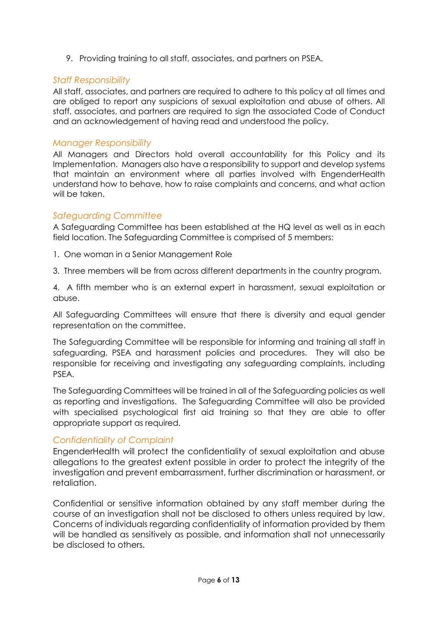9. Providing training to all staff, associates, and partners on PSEA.

#### <span id="page-5-0"></span>*Staff Responsibility*

All staff, associates, and partners are required to adhere to this policy at all times and are obliged to report any suspicions of sexual exploitation and abuse of others. All staff, associates, and partners are required to sign the associated Code of Conduct and an acknowledgement of having read and understood the policy.

#### <span id="page-5-1"></span>*Manager Responsibility*

All Managers and Directors hold overall accountability for this Policy and its Implementation. Managers also have a responsibility to support and develop systems that maintain an environment where all parties involved with EngenderHealth understand how to behave, how to raise complaints and concerns, and what action will be taken.

#### <span id="page-5-2"></span>*Safeguarding Committee*

A Safeguarding Committee has been established at the HQ level as well as in each field location. The Safeguarding Committee is comprised of 5 members:

- 1. One woman in a Senior Management Role
- 3. Three members will be from across different departments in the country program.

4. A fifth member who is an external expert in harassment, sexual exploitation or abuse.

All Safeguarding Committees will ensure that there is diversity and equal gender representation on the committee.

The Safeguarding Committee will be responsible for informing and training all staff in safeguarding, PSEA and harassment policies and procedures. They will also be responsible for receiving and investigating any safeguarding complaints, including PSEA.

The Safeguarding Committees will be trained in all of the Safeguarding policies as well as reporting and investigations. The Safeguarding Committee will also be provided with specialised psychological first aid training so that they are able to offer appropriate support as required.

#### <span id="page-5-3"></span>*Confidentiality of Complaint*

EngenderHealth will protect the confidentiality of sexual exploitation and abuse allegations to the greatest extent possible in order to protect the integrity of the investigation and prevent embarrassment, further discrimination or harassment, or retaliation.

Confidential or sensitive information obtained by any staff member during the course of an investigation shall not be disclosed to others unless required by law. Concerns of individuals regarding confidentiality of information provided by them will be handled as sensitively as possible, and information shall not unnecessarily be disclosed to others.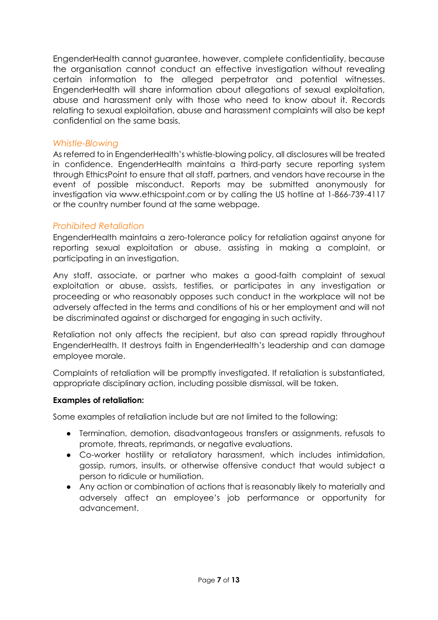EngenderHealth cannot guarantee, however, complete confidentiality, because the organisation cannot conduct an effective investigation without revealing certain information to the alleged perpetrator and potential witnesses. EngenderHealth will share information about allegations of sexual exploitation, abuse and harassment only with those who need to know about it. Records relating to sexual exploitation, abuse and harassment complaints will also be kept confidential on the same basis.

#### <span id="page-6-0"></span>*Whistle-Blowing*

As referred to in EngenderHealth's whistle-blowing policy, all disclosures will be treated in confidence. EngenderHealth maintains a third-party secure reporting system through EthicsPoint to ensure that all staff, partners, and vendors have recourse in the event of possible misconduct. Reports may be submitted anonymously for investigation via www.ethicspoint.com or by calling the US hotline at 1-866-739-4117 or the country number found at the same webpage.

#### <span id="page-6-1"></span>*Prohibited Retaliation*

EngenderHealth maintains a zero-tolerance policy for retaliation against anyone for reporting sexual exploitation or abuse, assisting in making a complaint, or participating in an investigation.

Any staff, associate, or partner who makes a good-faith complaint of sexual exploitation or abuse, assists, testifies, or participates in any investigation or proceeding or who reasonably opposes such conduct in the workplace will not be adversely affected in the terms and conditions of his or her employment and will not be discriminated against or discharged for engaging in such activity.

Retaliation not only affects the recipient, but also can spread rapidly throughout EngenderHealth. It destroys faith in EngenderHealth's leadership and can damage employee morale.

Complaints of retaliation will be promptly investigated. If retaliation is substantiated, appropriate disciplinary action, including possible dismissal, will be taken.

#### **Examples of retaliation:**

Some examples of retaliation include but are not limited to the following:

- Termination, demotion, disadvantageous transfers or assignments, refusals to promote, threats, reprimands, or negative evaluations.
- Co-worker hostility or retaliatory harassment, which includes intimidation, gossip, rumors, insults, or otherwise offensive conduct that would subject a person to ridicule or humiliation.
- Any action or combination of actions that is reasonably likely to materially and adversely affect an employee's job performance or opportunity for advancement.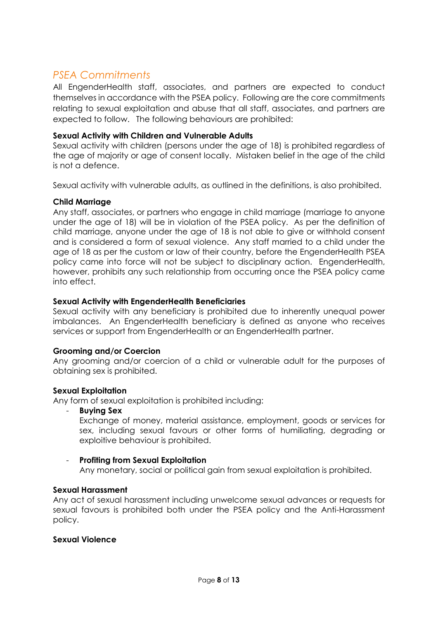# <span id="page-7-0"></span>*PSEA Commitments*

All EngenderHealth staff, associates, and partners are expected to conduct themselves in accordance with the PSEA policy. Following are the core commitments relating to sexual exploitation and abuse that all staff, associates, and partners are expected to follow. The following behaviours are prohibited:

#### **Sexual Activity with Children and Vulnerable Adults**

Sexual activity with children (persons under the age of 18) is prohibited regardless of the age of majority or age of consent locally. Mistaken belief in the age of the child is not a defence.

Sexual activity with vulnerable adults, as outlined in the definitions, is also prohibited.

#### **Child Marriage**

Any staff, associates, or partners who engage in child marriage (marriage to anyone under the age of 18) will be in violation of the PSEA policy. As per the definition of child marriage, anyone under the age of 18 is not able to give or withhold consent and is considered a form of sexual violence. Any staff married to a child under the age of 18 as per the custom or law of their country, before the EngenderHealth PSEA policy came into force will not be subject to disciplinary action. EngenderHealth, however, prohibits any such relationship from occurring once the PSEA policy came into effect.

#### **Sexual Activity with EngenderHealth Beneficiaries**

Sexual activity with any beneficiary is prohibited due to inherently unequal power imbalances. An EngenderHealth beneficiary is defined as anyone who receives services or support from EngenderHealth or an EngenderHealth partner.

#### **Grooming and/or Coercion**

Any grooming and/or coercion of a child or vulnerable adult for the purposes of obtaining sex is prohibited.

#### **Sexual Exploitation**

Any form of sexual exploitation is prohibited including:

- **Buying Sex**

Exchange of money, material assistance, employment, goods or services for sex, including sexual favours or other forms of humiliating, degrading or exploitive behaviour is prohibited.

#### - **Profiting from Sexual Exploitation**

Any monetary, social or political gain from sexual exploitation is prohibited.

#### **Sexual Harassment**

Any act of sexual harassment including unwelcome sexual advances or requests for sexual favours is prohibited both under the PSEA policy and the Anti-Harassment policy.

#### **Sexual Violence**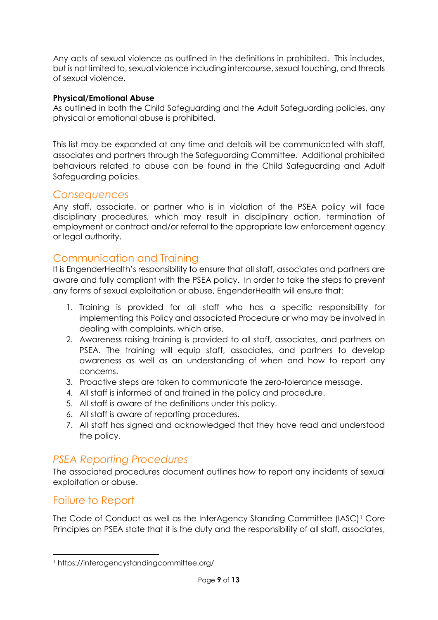Any acts of sexual violence as outlined in the definitions in prohibited. This includes, but is not limited to, sexual violence including intercourse, sexual touching, and threats of sexual violence.

#### **Physical/Emotional Abuse**

As outlined in both the Child Safeguarding and the Adult Safeguarding policies, any physical or emotional abuse is prohibited.

This list may be expanded at any time and details will be communicated with staff, associates and partners through the Safeguarding Committee. Additional prohibited behaviours related to abuse can be found in the Child Safeguarding and Adult Safeguarding policies.

### <span id="page-8-0"></span>*Consequences*

Any staff, associate, or partner who is in violation of the PSEA policy will face disciplinary procedures, which may result in disciplinary action, termination of employment or contract and/or referral to the appropriate law enforcement agency or legal authority.

## Communication and Training

It is EngenderHealth's responsibility to ensure that all staff, associates and partners are aware and fully compliant with the PSEA policy. In order to take the steps to prevent any forms of sexual exploitation or abuse, EngenderHealth will ensure that:

- 1. Training is provided for all staff who has a specific responsibility for implementing this Policy and associated Procedure or who may be involved in dealing with complaints, which arise.
- 2. Awareness raising training is provided to all staff, associates, and partners on PSEA. The training will equip staff, associates, and partners to develop awareness as well as an understanding of when and how to report any concerns.
- 3. Proactive steps are taken to communicate the zero-tolerance message.
- 4. All staff is informed of and trained in the policy and procedure.
- 5. All staff is aware of the definitions under this policy.
- 6. All staff is aware of reporting procedures.
- 7. All staff has signed and acknowledged that they have read and understood the policy.

# <span id="page-8-1"></span>*PSEA Reporting Procedures*

The associated procedures document outlines how to report any incidents of sexual exploitation or abuse.

## Failure to Report

The Code of Conduct as well as the InterAgency Standing Committee (IASC)[1](#page-8-2) Core Principles on PSEA state that it is the duty and the responsibility of all staff, associates,

<span id="page-8-2"></span> <sup>1</sup> https://interagencystandingcommittee.org/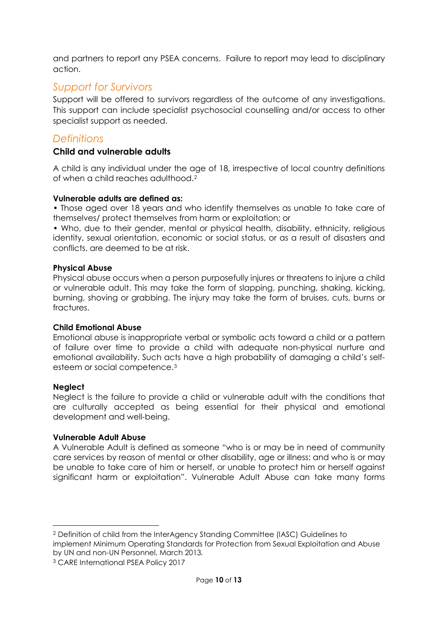and partners to report any PSEA concerns. Failure to report may lead to disciplinary action.

## <span id="page-9-0"></span>*Support for Survivors*

Support will be offered to survivors regardless of the outcome of any investigations. This support can include specialist psychosocial counselling and/or access to other specialist support as needed.

## <span id="page-9-1"></span>*Definitions*

#### **Child and vulnerable adults**

A child is any individual under the age of 18, irrespective of local country definitions of when a child reaches adulthood.[2](#page-9-2)

#### **Vulnerable adults are defined as:**

• Those aged over 18 years and who identify themselves as unable to take care of themselves/ protect themselves from harm or exploitation; or

• Who, due to their gender, mental or physical health, disability, ethnicity, religious identity, sexual orientation, economic or social status, or as a result of disasters and conflicts, are deemed to be at risk.

#### **Physical Abuse**

Physical abuse occurs when a person purposefully injures or threatens to injure a child or vulnerable adult. This may take the form of slapping, punching, shaking, kicking, burning, shoving or grabbing. The injury may take the form of bruises, cuts, burns or fractures.

#### **Child Emotional Abuse**

Emotional abuse is inappropriate verbal or symbolic acts toward a child or a pattern of failure over time to provide a child with adequate non-physical nurture and emotional availability. Such acts have a high probability of damaging a child's selfesteem or social competence.[3](#page-9-3)

#### **Neglect**

Neglect is the failure to provide a child or vulnerable adult with the conditions that are culturally accepted as being essential for their physical and emotional development and well-being.

#### **Vulnerable Adult Abuse**

A Vulnerable Adult is defined as someone "who is or may be in need of community care services by reason of mental or other disability, age or illness; and who is or may be unable to take care of him or herself, or unable to protect him or herself against significant harm or exploitation". Vulnerable Adult Abuse can take many forms

<span id="page-9-3"></span><sup>3</sup> CARE International PSEA Policy 2017

<span id="page-9-2"></span> <sup>2</sup> Definition of child from the InterAgency Standing Committee (IASC) Guidelines to implement Minimum Operating Standards for Protection from Sexual Exploitation and Abuse by UN and non-UN Personnel, March 2013.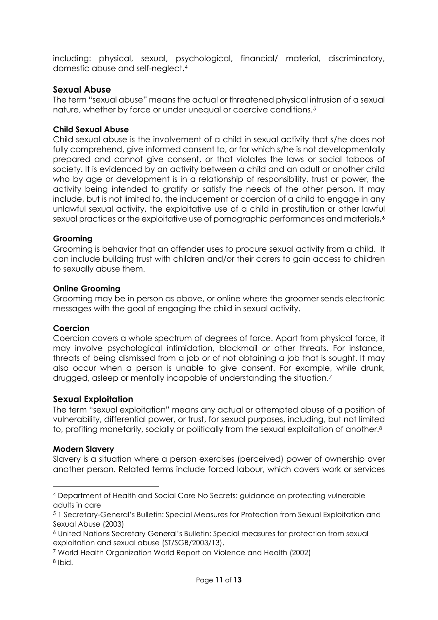including: physical, sexual, psychological, financial/ material, discriminatory, domestic abuse and self-neglect.[4](#page-10-0)

#### **Sexual Abuse**

The term "sexual abuse" means the actual or threatened physical intrusion of a sexual nature, whether by force or under unequal or coercive conditions.[5](#page-10-1)

#### **Child Sexual Abuse**

Child sexual abuse is the involvement of a child in sexual activity that s/he does not fully comprehend, give informed consent to, or for which s/he is not developmentally prepared and cannot give consent, or that violates the laws or social taboos of society. It is evidenced by an activity between a child and an adult or another child who by age or development is in a relationship of responsibility, trust or power, the activity being intended to gratify or satisfy the needs of the other person. It may include, but is not limited to, the inducement or coercion of a child to engage in any unlawful sexual activity, the exploitative use of a child in prostitution or other lawful sexual practices or the exploitative use of pornographic performances and materials**.[6](#page-10-2)**

#### **Grooming**

Grooming is behavior that an offender uses to procure sexual activity from a child. It can include building trust with children and/or their carers to gain access to children to sexually abuse them.

#### **Online Grooming**

Grooming may be in person as above, or online where the groomer sends electronic messages with the goal of engaging the child in sexual activity.

#### **Coercion**

Coercion covers a whole spectrum of degrees of force. Apart from physical force, it may involve psychological intimidation, blackmail or other threats. For instance, threats of being dismissed from a job or of not obtaining a job that is sought. It may also occur when a person is unable to give consent. For example, while drunk, drugged, asleep or mentally incapable of understanding the situation[.7](#page-10-3)

#### **Sexual Exploitation**

The term "sexual exploitation" means any actual or attempted abuse of a position of vulnerability, differential power, or trust, for sexual purposes, including, but not limited to, profiting monetarily, socially or politically from the sexual exploitation of another.<sup>[8](#page-10-4)</sup>

#### **Modern Slavery**

Slavery is a situation where a person exercises (perceived) power of ownership over another person. Related terms include forced labour, which covers work or services

<span id="page-10-0"></span> <sup>4</sup> Department of Health and Social Care No Secrets: guidance on protecting vulnerable adults in care

<span id="page-10-1"></span><sup>5</sup> 1 Secretary-General's Bulletin: Special Measures for Protection from Sexual Exploitation and Sexual Abuse (2003)

<span id="page-10-2"></span><sup>6</sup> United Nations Secretary General's Bulletin: Special measures for protection from sexual exploitation and sexual abuse (ST/SGB/2003/13).

<span id="page-10-3"></span><sup>7</sup> World Health Organization World Report on Violence and Health (2002)

<span id="page-10-4"></span><sup>8</sup> Ibid.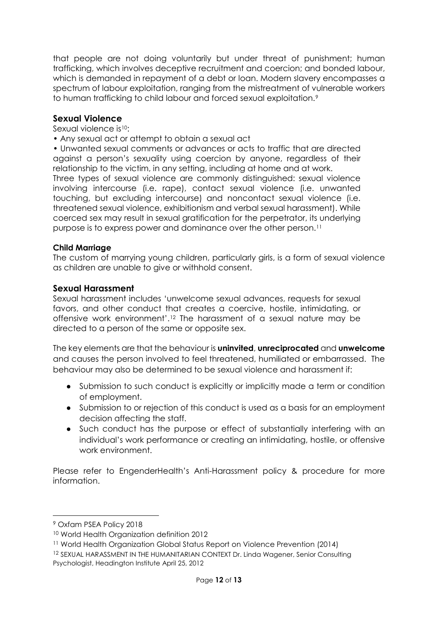that people are not doing voluntarily but under threat of punishment; human trafficking, which involves deceptive recruitment and coercion; and bonded labour, which is demanded in repayment of a debt or loan. Modern slavery encompasses a spectrum of labour exploitation, ranging from the mistreatment of vulnerable workers to human trafficking to child labour and forced sexual exploitation.<sup>[9](#page-11-0)</sup>

#### **Sexual Violence**

Sexual violence is<sup>10</sup>:

• Any sexual act or attempt to obtain a sexual act

• Unwanted sexual comments or advances or acts to traffic that are directed against a person's sexuality using coercion by anyone, regardless of their relationship to the victim, in any setting, including at home and at work. Three types of sexual violence are commonly distinguished: sexual violence involving intercourse (i.e. rape), contact sexual violence (i.e. unwanted touching, but excluding intercourse) and noncontact sexual violence (i.e. threatened sexual violence, exhibitionism and verbal sexual harassment). While coerced sex may result in sexual gratification for the perpetrator, its underlying purpose is to express power and dominance over the other person.[11](#page-11-2)

#### **Child Marriage**

The custom of marrying young children, particularly girls, is a form of sexual violence as children are unable to give or withhold consent.

#### **Sexual Harassment**

Sexual harassment includes 'unwelcome sexual advances, requests for sexual favors, and other conduct that creates a coercive, hostile, intimidating, or offensive work environment'.[12](#page-11-3) The harassment of a sexual nature may be directed to a person of the same or opposite sex.

The key elements are that the behaviour is **uninvited**, **unreciprocated** and **unwelcome** and causes the person involved to feel threatened, humiliated or embarrassed. The behaviour may also be determined to be sexual violence and harassment if:

- Submission to such conduct is explicitly or implicitly made a term or condition of employment.
- Submission to or rejection of this conduct is used as a basis for an employment decision affecting the staff.
- Such conduct has the purpose or effect of substantially interfering with an individual's work performance or creating an intimidating, hostile, or offensive work environment.

Please refer to EngenderHealth's Anti-Harassment policy & procedure for more information.

<span id="page-11-0"></span> <sup>9</sup> Oxfam PSEA Policy 2018

<span id="page-11-1"></span><sup>10</sup> World Health Organization definition 2012

<span id="page-11-2"></span><sup>11</sup> World Health Organization Global Status Report on Violence Prevention (2014)

<span id="page-11-3"></span><sup>12</sup> SEXUAL HARASSMENT IN THE HUMANITARIAN CONTEXT Dr. Linda Wagener, Senior Consulting Psychologist, Headington Institute April 25, 2012